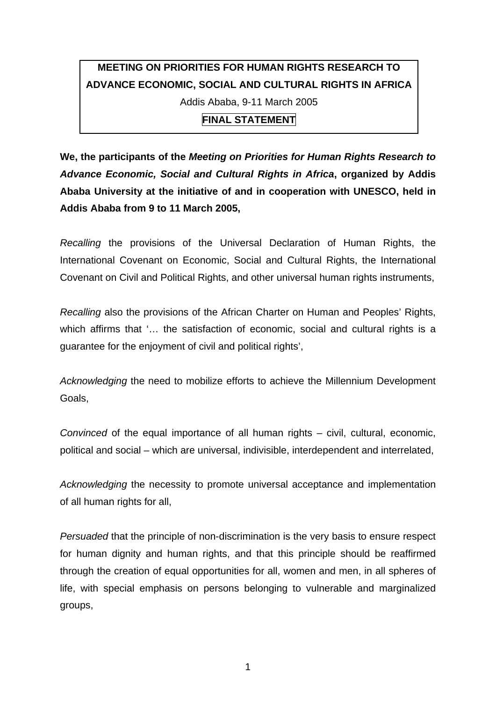## **MEETING ON PRIORITIES FOR HUMAN RIGHTS RESEARCH TO ADVANCE ECONOMIC, SOCIAL AND CULTURAL RIGHTS IN AFRICA**  Addis Ababa, 9-11 March 2005

**FINAL STATEMENT** 

**We, the participants of the** *Meeting on Priorities for Human Rights Research to Advance Economic, Social and Cultural Rights in Africa***, organized by Addis Ababa University at the initiative of and in cooperation with UNESCO, held in Addis Ababa from 9 to 11 March 2005,** 

*Recalling* the provisions of the Universal Declaration of Human Rights, the International Covenant on Economic, Social and Cultural Rights, the International Covenant on Civil and Political Rights, and other universal human rights instruments,

*Recalling* also the provisions of the African Charter on Human and Peoples' Rights, which affirms that '… the satisfaction of economic, social and cultural rights is a guarantee for the enjoyment of civil and political rights',

*Acknowledging* the need to mobilize efforts to achieve the Millennium Development Goals,

*Convinced* of the equal importance of all human rights – civil, cultural, economic, political and social – which are universal, indivisible, interdependent and interrelated,

*Acknowledging* the necessity to promote universal acceptance and implementation of all human rights for all,

*Persuaded* that the principle of non-discrimination is the very basis to ensure respect for human dignity and human rights, and that this principle should be reaffirmed through the creation of equal opportunities for all, women and men, in all spheres of life, with special emphasis on persons belonging to vulnerable and marginalized groups,

1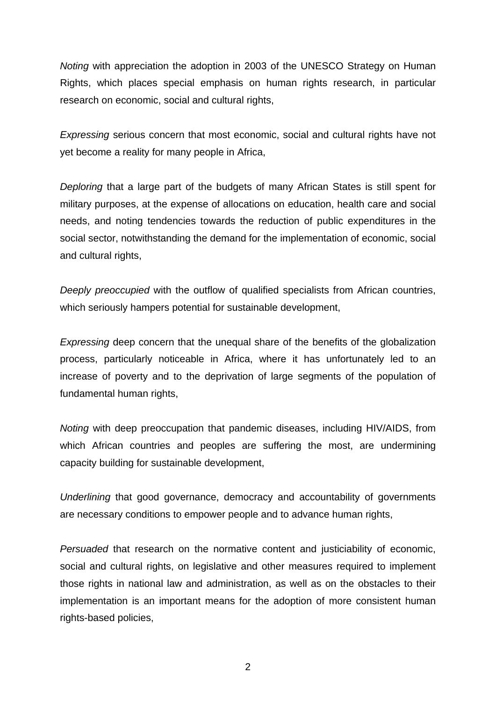*Noting* with appreciation the adoption in 2003 of the UNESCO Strategy on Human Rights, which places special emphasis on human rights research, in particular research on economic, social and cultural rights,

*Expressing* serious concern that most economic, social and cultural rights have not yet become a reality for many people in Africa,

*Deploring* that a large part of the budgets of many African States is still spent for military purposes, at the expense of allocations on education, health care and social needs, and noting tendencies towards the reduction of public expenditures in the social sector, notwithstanding the demand for the implementation of economic, social and cultural rights,

*Deeply preoccupied* with the outflow of qualified specialists from African countries, which seriously hampers potential for sustainable development,

*Expressing* deep concern that the unequal share of the benefits of the globalization process, particularly noticeable in Africa, where it has unfortunately led to an increase of poverty and to the deprivation of large segments of the population of fundamental human rights,

*Noting* with deep preoccupation that pandemic diseases, including HIV/AIDS, from which African countries and peoples are suffering the most, are undermining capacity building for sustainable development,

*Underlining* that good governance, democracy and accountability of governments are necessary conditions to empower people and to advance human rights,

*Persuaded* that research on the normative content and justiciability of economic, social and cultural rights, on legislative and other measures required to implement those rights in national law and administration, as well as on the obstacles to their implementation is an important means for the adoption of more consistent human rights-based policies,

2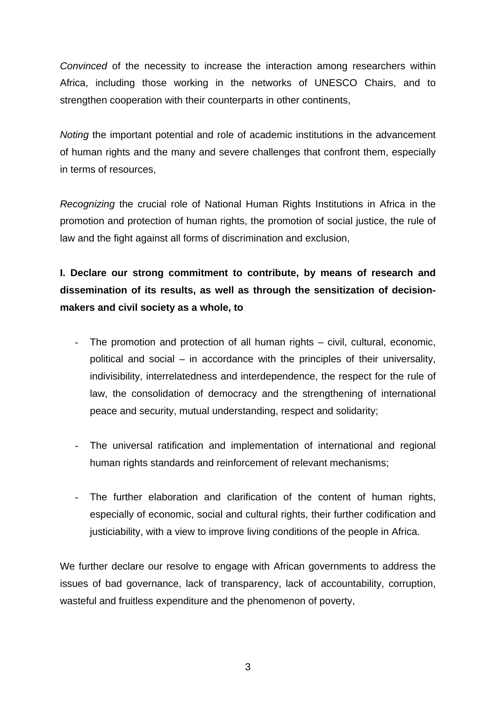*Convinced* of the necessity to increase the interaction among researchers within Africa, including those working in the networks of UNESCO Chairs, and to strengthen cooperation with their counterparts in other continents,

*Noting* the important potential and role of academic institutions in the advancement of human rights and the many and severe challenges that confront them, especially in terms of resources,

*Recognizing* the crucial role of National Human Rights Institutions in Africa in the promotion and protection of human rights, the promotion of social justice, the rule of law and the fight against all forms of discrimination and exclusion,

## **I. Declare our strong commitment to contribute, by means of research and dissemination of its results, as well as through the sensitization of decisionmakers and civil society as a whole, to**

- The promotion and protection of all human rights civil, cultural, economic, political and social – in accordance with the principles of their universality, indivisibility, interrelatedness and interdependence, the respect for the rule of law, the consolidation of democracy and the strengthening of international peace and security, mutual understanding, respect and solidarity;
- The universal ratification and implementation of international and regional human rights standards and reinforcement of relevant mechanisms;
- The further elaboration and clarification of the content of human rights, especially of economic, social and cultural rights, their further codification and justiciability, with a view to improve living conditions of the people in Africa.

We further declare our resolve to engage with African governments to address the issues of bad governance, lack of transparency, lack of accountability, corruption, wasteful and fruitless expenditure and the phenomenon of poverty,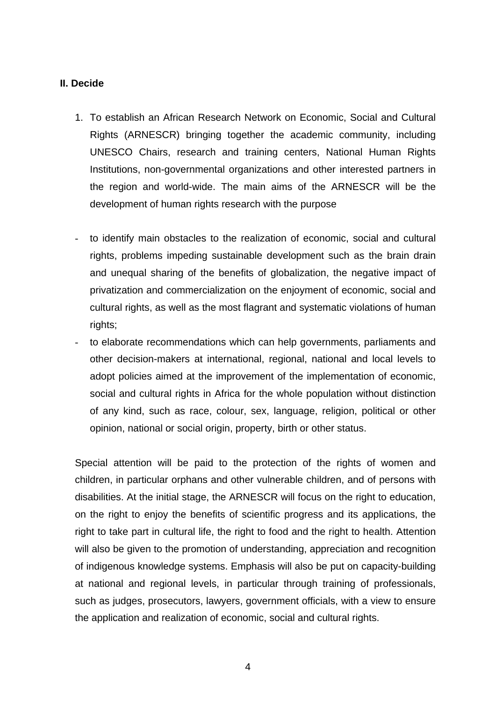## **II. Decide**

- 1. To establish an African Research Network on Economic, Social and Cultural Rights (ARNESCR) bringing together the academic community, including UNESCO Chairs, research and training centers, National Human Rights Institutions, non-governmental organizations and other interested partners in the region and world-wide. The main aims of the ARNESCR will be the development of human rights research with the purpose
- to identify main obstacles to the realization of economic, social and cultural rights, problems impeding sustainable development such as the brain drain and unequal sharing of the benefits of globalization, the negative impact of privatization and commercialization on the enjoyment of economic, social and cultural rights, as well as the most flagrant and systematic violations of human rights;
- to elaborate recommendations which can help governments, parliaments and other decision-makers at international, regional, national and local levels to adopt policies aimed at the improvement of the implementation of economic, social and cultural rights in Africa for the whole population without distinction of any kind, such as race, colour, sex, language, religion, political or other opinion, national or social origin, property, birth or other status.

Special attention will be paid to the protection of the rights of women and children, in particular orphans and other vulnerable children, and of persons with disabilities. At the initial stage, the ARNESCR will focus on the right to education, on the right to enjoy the benefits of scientific progress and its applications, the right to take part in cultural life, the right to food and the right to health. Attention will also be given to the promotion of understanding, appreciation and recognition of indigenous knowledge systems. Emphasis will also be put on capacity-building at national and regional levels, in particular through training of professionals, such as judges, prosecutors, lawyers, government officials, with a view to ensure the application and realization of economic, social and cultural rights.